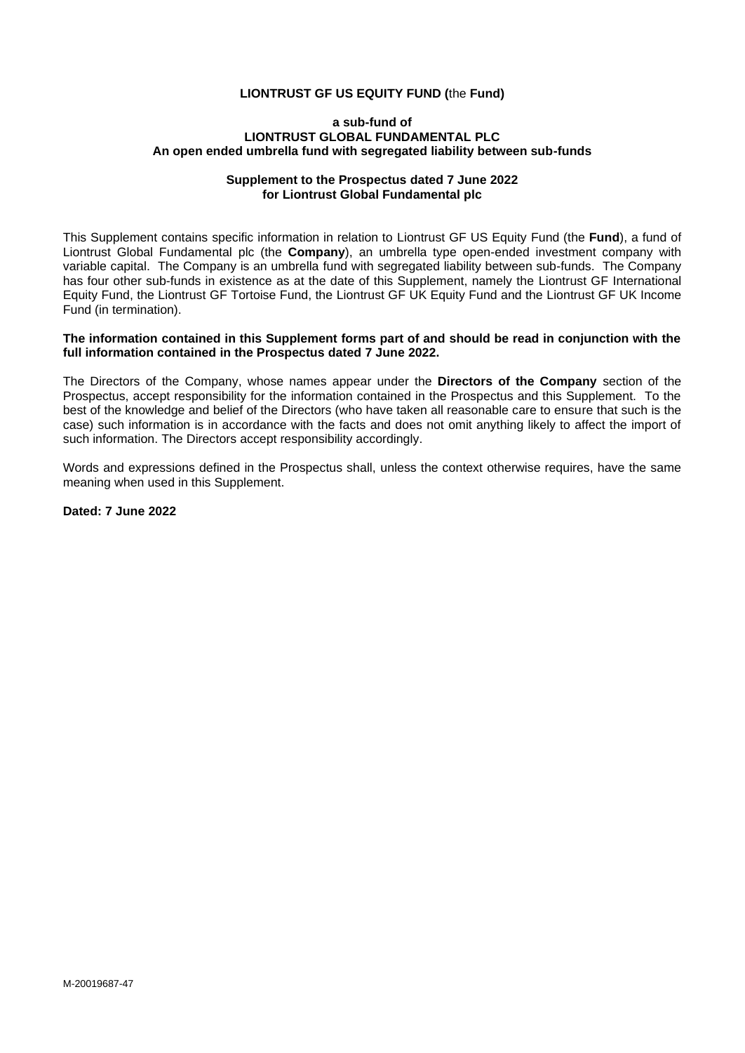## **LIONTRUST GF US EQUITY FUND (**the **Fund)**

#### **a sub-fund of LIONTRUST GLOBAL FUNDAMENTAL PLC An open ended umbrella fund with segregated liability between sub-funds**

### **Supplement to the Prospectus dated 7 June 2022 for Liontrust Global Fundamental plc**

This Supplement contains specific information in relation to Liontrust GF US Equity Fund (the **Fund**), a fund of Liontrust Global Fundamental plc (the **Company**), an umbrella type open-ended investment company with variable capital. The Company is an umbrella fund with segregated liability between sub-funds. The Company has four other sub-funds in existence as at the date of this Supplement, namely the Liontrust GF International Equity Fund, the Liontrust GF Tortoise Fund, the Liontrust GF UK Equity Fund and the Liontrust GF UK Income Fund (in termination).

### **The information contained in this Supplement forms part of and should be read in conjunction with the full information contained in the Prospectus dated 7 June 2022.**

The Directors of the Company, whose names appear under the **Directors of the Company** section of the Prospectus, accept responsibility for the information contained in the Prospectus and this Supplement. To the best of the knowledge and belief of the Directors (who have taken all reasonable care to ensure that such is the case) such information is in accordance with the facts and does not omit anything likely to affect the import of such information. The Directors accept responsibility accordingly.

Words and expressions defined in the Prospectus shall, unless the context otherwise requires, have the same meaning when used in this Supplement.

**Dated: 7 June 2022**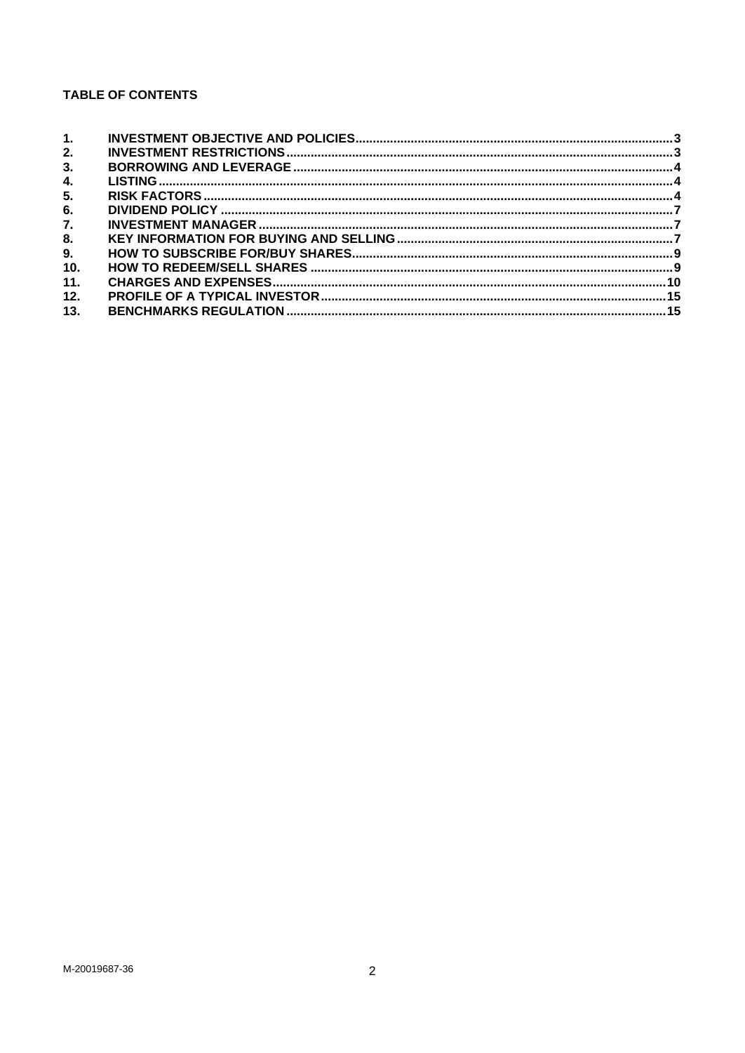# **TABLE OF CONTENTS**

| 1.  |  |
|-----|--|
| 2.  |  |
| 3.  |  |
| 4.  |  |
| 5.  |  |
| 6.  |  |
| 7.  |  |
| 8.  |  |
| 9.  |  |
| 10. |  |
| 11. |  |
| 12. |  |
| 13. |  |
|     |  |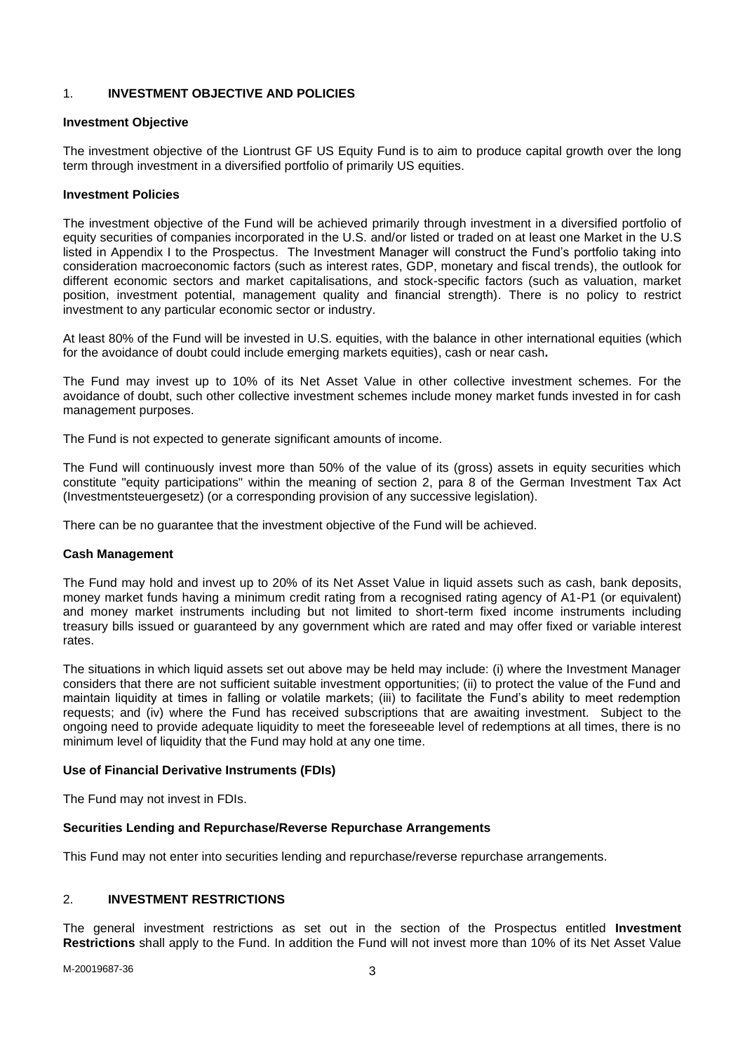## <span id="page-2-0"></span>1. **INVESTMENT OBJECTIVE AND POLICIES**

### **Investment Objective**

The investment objective of the Liontrust GF US Equity Fund is to aim to produce capital growth over the long term through investment in a diversified portfolio of primarily US equities.

#### **Investment Policies**

The investment objective of the Fund will be achieved primarily through investment in a diversified portfolio of equity securities of companies incorporated in the U.S. and/or listed or traded on at least one Market in the U.S listed in Appendix I to the Prospectus. The Investment Manager will construct the Fund's portfolio taking into consideration macroeconomic factors (such as interest rates, GDP, monetary and fiscal trends), the outlook for different economic sectors and market capitalisations, and stock-specific factors (such as valuation, market position, investment potential, management quality and financial strength). There is no policy to restrict investment to any particular economic sector or industry.

At least 80% of the Fund will be invested in U.S. equities, with the balance in other international equities (which for the avoidance of doubt could include emerging markets equities), cash or near cash**.** 

The Fund may invest up to 10% of its Net Asset Value in other collective investment schemes. For the avoidance of doubt, such other collective investment schemes include money market funds invested in for cash management purposes.

The Fund is not expected to generate significant amounts of income.

The Fund will continuously invest more than 50% of the value of its (gross) assets in equity securities which constitute "equity participations" within the meaning of section 2, para 8 of the German Investment Tax Act (Investmentsteuergesetz) (or a corresponding provision of any successive legislation).

There can be no guarantee that the investment objective of the Fund will be achieved.

### **Cash Management**

The Fund may hold and invest up to 20% of its Net Asset Value in liquid assets such as cash, bank deposits, money market funds having a minimum credit rating from a recognised rating agency of A1-P1 (or equivalent) and money market instruments including but not limited to short-term fixed income instruments including treasury bills issued or guaranteed by any government which are rated and may offer fixed or variable interest rates.

The situations in which liquid assets set out above may be held may include: (i) where the Investment Manager considers that there are not sufficient suitable investment opportunities; (ii) to protect the value of the Fund and maintain liquidity at times in falling or volatile markets; (iii) to facilitate the Fund's ability to meet redemption requests; and (iv) where the Fund has received subscriptions that are awaiting investment. Subject to the ongoing need to provide adequate liquidity to meet the foreseeable level of redemptions at all times, there is no minimum level of liquidity that the Fund may hold at any one time.

### **Use of Financial Derivative Instruments (FDIs)**

The Fund may not invest in FDIs.

### **Securities Lending and Repurchase/Reverse Repurchase Arrangements**

This Fund may not enter into securities lending and repurchase/reverse repurchase arrangements.

### <span id="page-2-1"></span>2. **INVESTMENT RESTRICTIONS**

The general investment restrictions as set out in the section of the Prospectus entitled **Investment Restrictions** shall apply to the Fund. In addition the Fund will not invest more than 10% of its Net Asset Value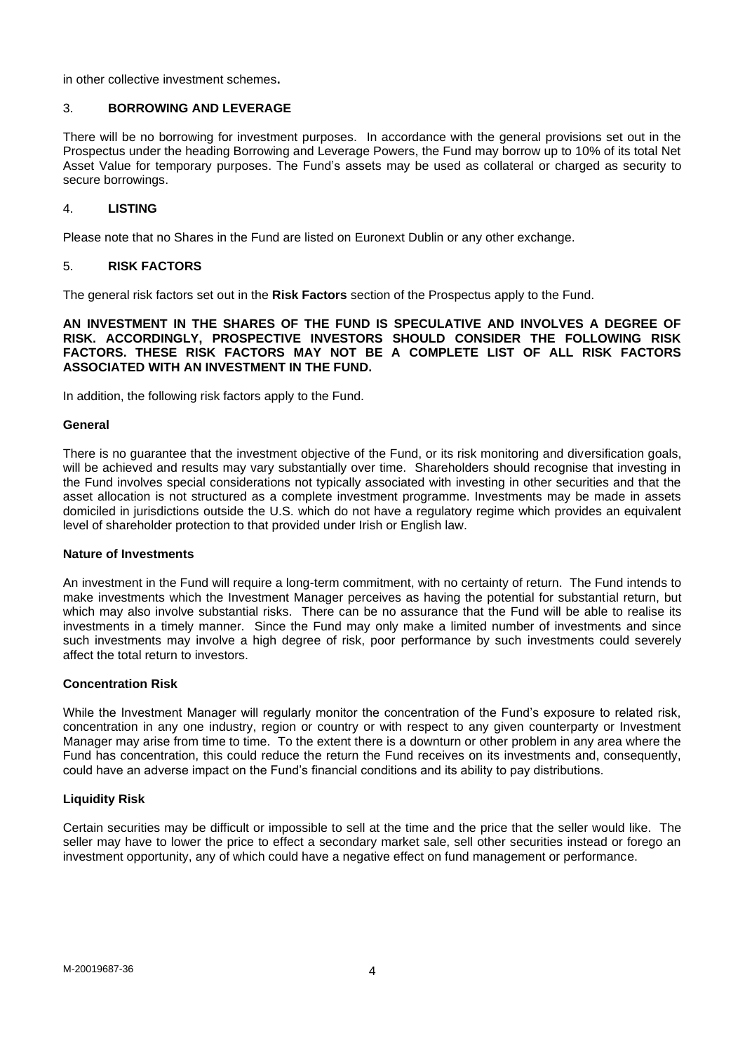in other collective investment schemes**.**

### <span id="page-3-0"></span>3. **BORROWING AND LEVERAGE**

There will be no borrowing for investment purposes. In accordance with the general provisions set out in the Prospectus under the heading Borrowing and Leverage Powers, the Fund may borrow up to 10% of its total Net Asset Value for temporary purposes. The Fund's assets may be used as collateral or charged as security to secure borrowings.

## <span id="page-3-1"></span>4. **LISTING**

Please note that no Shares in the Fund are listed on Euronext Dublin or any other exchange.

## <span id="page-3-2"></span>5. **RISK FACTORS**

The general risk factors set out in the **Risk Factors** section of the Prospectus apply to the Fund.

**AN INVESTMENT IN THE SHARES OF THE FUND IS SPECULATIVE AND INVOLVES A DEGREE OF RISK. ACCORDINGLY, PROSPECTIVE INVESTORS SHOULD CONSIDER THE FOLLOWING RISK FACTORS. THESE RISK FACTORS MAY NOT BE A COMPLETE LIST OF ALL RISK FACTORS ASSOCIATED WITH AN INVESTMENT IN THE FUND.**

In addition, the following risk factors apply to the Fund.

### **General**

There is no guarantee that the investment objective of the Fund, or its risk monitoring and diversification goals, will be achieved and results may vary substantially over time. Shareholders should recognise that investing in the Fund involves special considerations not typically associated with investing in other securities and that the asset allocation is not structured as a complete investment programme. Investments may be made in assets domiciled in jurisdictions outside the U.S. which do not have a regulatory regime which provides an equivalent level of shareholder protection to that provided under Irish or English law.

### **Nature of Investments**

An investment in the Fund will require a long-term commitment, with no certainty of return. The Fund intends to make investments which the Investment Manager perceives as having the potential for substantial return, but which may also involve substantial risks. There can be no assurance that the Fund will be able to realise its investments in a timely manner. Since the Fund may only make a limited number of investments and since such investments may involve a high degree of risk, poor performance by such investments could severely affect the total return to investors.

### **Concentration Risk**

While the Investment Manager will regularly monitor the concentration of the Fund's exposure to related risk, concentration in any one industry, region or country or with respect to any given counterparty or Investment Manager may arise from time to time. To the extent there is a downturn or other problem in any area where the Fund has concentration, this could reduce the return the Fund receives on its investments and, consequently, could have an adverse impact on the Fund's financial conditions and its ability to pay distributions.

### **Liquidity Risk**

Certain securities may be difficult or impossible to sell at the time and the price that the seller would like. The seller may have to lower the price to effect a secondary market sale, sell other securities instead or forego an investment opportunity, any of which could have a negative effect on fund management or performance.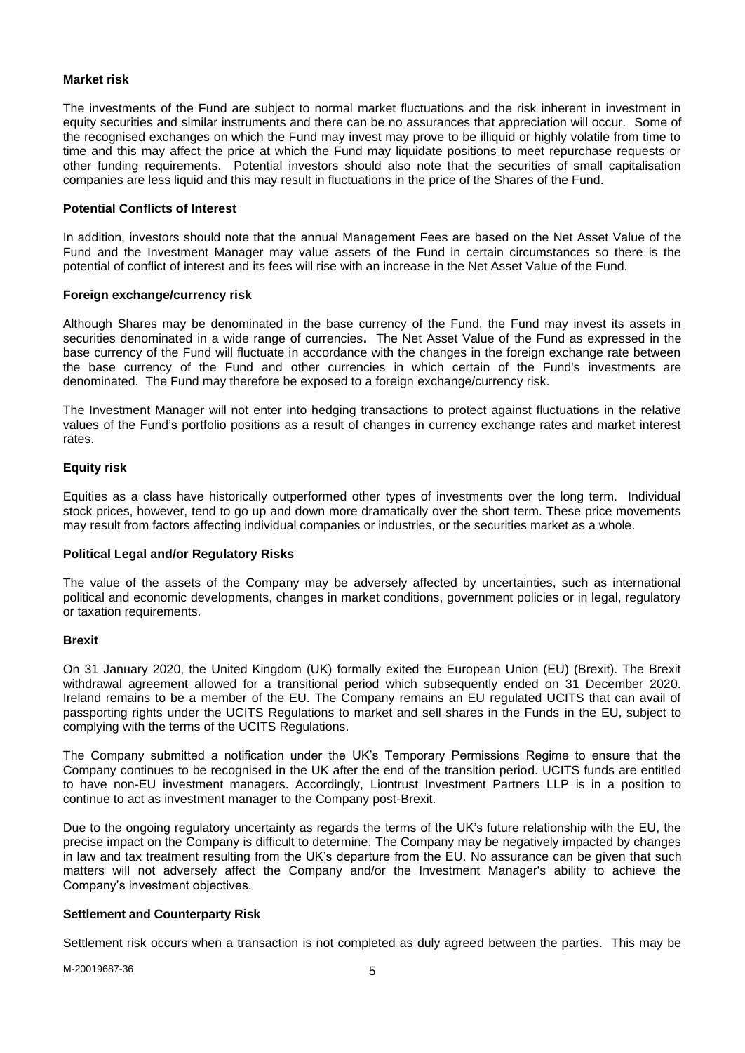### **Market risk**

The investments of the Fund are subject to normal market fluctuations and the risk inherent in investment in equity securities and similar instruments and there can be no assurances that appreciation will occur. Some of the recognised exchanges on which the Fund may invest may prove to be illiquid or highly volatile from time to time and this may affect the price at which the Fund may liquidate positions to meet repurchase requests or other funding requirements. Potential investors should also note that the securities of small capitalisation companies are less liquid and this may result in fluctuations in the price of the Shares of the Fund.

### **Potential Conflicts of Interest**

In addition, investors should note that the annual Management Fees are based on the Net Asset Value of the Fund and the Investment Manager may value assets of the Fund in certain circumstances so there is the potential of conflict of interest and its fees will rise with an increase in the Net Asset Value of the Fund.

### **Foreign exchange/currency risk**

Although Shares may be denominated in the base currency of the Fund, the Fund may invest its assets in securities denominated in a wide range of currencies**.** The Net Asset Value of the Fund as expressed in the base currency of the Fund will fluctuate in accordance with the changes in the foreign exchange rate between the base currency of the Fund and other currencies in which certain of the Fund's investments are denominated. The Fund may therefore be exposed to a foreign exchange/currency risk.

The Investment Manager will not enter into hedging transactions to protect against fluctuations in the relative values of the Fund's portfolio positions as a result of changes in currency exchange rates and market interest rates.

## **Equity risk**

Equities as a class have historically outperformed other types of investments over the long term. Individual stock prices, however, tend to go up and down more dramatically over the short term. These price movements may result from factors affecting individual companies or industries, or the securities market as a whole.

### **Political Legal and/or Regulatory Risks**

The value of the assets of the Company may be adversely affected by uncertainties, such as international political and economic developments, changes in market conditions, government policies or in legal, regulatory or taxation requirements.

### **Brexit**

On 31 January 2020, the United Kingdom (UK) formally exited the European Union (EU) (Brexit). The Brexit withdrawal agreement allowed for a transitional period which subsequently ended on 31 December 2020. Ireland remains to be a member of the EU. The Company remains an EU regulated UCITS that can avail of passporting rights under the UCITS Regulations to market and sell shares in the Funds in the EU, subject to complying with the terms of the UCITS Regulations.

The Company submitted a notification under the UK's Temporary Permissions Regime to ensure that the Company continues to be recognised in the UK after the end of the transition period. UCITS funds are entitled to have non-EU investment managers. Accordingly, Liontrust Investment Partners LLP is in a position to continue to act as investment manager to the Company post-Brexit.

Due to the ongoing regulatory uncertainty as regards the terms of the UK's future relationship with the EU, the precise impact on the Company is difficult to determine. The Company may be negatively impacted by changes in law and tax treatment resulting from the UK's departure from the EU. No assurance can be given that such matters will not adversely affect the Company and/or the Investment Manager's ability to achieve the Company's investment objectives.

## **Settlement and Counterparty Risk**

Settlement risk occurs when a transaction is not completed as duly agreed between the parties. This may be

M-20019687-36 5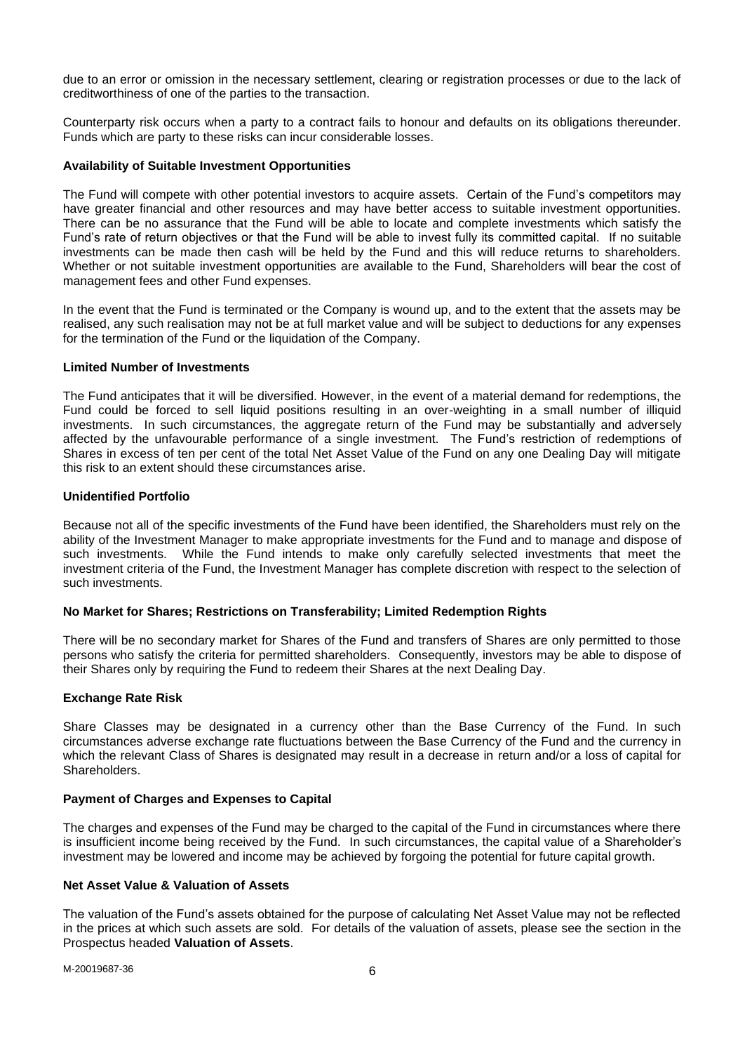due to an error or omission in the necessary settlement, clearing or registration processes or due to the lack of creditworthiness of one of the parties to the transaction.

Counterparty risk occurs when a party to a contract fails to honour and defaults on its obligations thereunder. Funds which are party to these risks can incur considerable losses.

### **Availability of Suitable Investment Opportunities**

The Fund will compete with other potential investors to acquire assets. Certain of the Fund's competitors may have greater financial and other resources and may have better access to suitable investment opportunities. There can be no assurance that the Fund will be able to locate and complete investments which satisfy the Fund's rate of return objectives or that the Fund will be able to invest fully its committed capital. If no suitable investments can be made then cash will be held by the Fund and this will reduce returns to shareholders. Whether or not suitable investment opportunities are available to the Fund, Shareholders will bear the cost of management fees and other Fund expenses.

In the event that the Fund is terminated or the Company is wound up, and to the extent that the assets may be realised, any such realisation may not be at full market value and will be subject to deductions for any expenses for the termination of the Fund or the liquidation of the Company.

### **Limited Number of Investments**

The Fund anticipates that it will be diversified. However, in the event of a material demand for redemptions, the Fund could be forced to sell liquid positions resulting in an over-weighting in a small number of illiquid investments. In such circumstances, the aggregate return of the Fund may be substantially and adversely affected by the unfavourable performance of a single investment. The Fund's restriction of redemptions of Shares in excess of ten per cent of the total Net Asset Value of the Fund on any one Dealing Day will mitigate this risk to an extent should these circumstances arise.

### **Unidentified Portfolio**

Because not all of the specific investments of the Fund have been identified, the Shareholders must rely on the ability of the Investment Manager to make appropriate investments for the Fund and to manage and dispose of such investments. While the Fund intends to make only carefully selected investments that meet the investment criteria of the Fund, the Investment Manager has complete discretion with respect to the selection of such investments.

### **No Market for Shares; Restrictions on Transferability; Limited Redemption Rights**

There will be no secondary market for Shares of the Fund and transfers of Shares are only permitted to those persons who satisfy the criteria for permitted shareholders. Consequently, investors may be able to dispose of their Shares only by requiring the Fund to redeem their Shares at the next Dealing Day.

### **Exchange Rate Risk**

Share Classes may be designated in a currency other than the Base Currency of the Fund. In such circumstances adverse exchange rate fluctuations between the Base Currency of the Fund and the currency in which the relevant Class of Shares is designated may result in a decrease in return and/or a loss of capital for Shareholders.

### **Payment of Charges and Expenses to Capital**

The charges and expenses of the Fund may be charged to the capital of the Fund in circumstances where there is insufficient income being received by the Fund. In such circumstances, the capital value of a Shareholder's investment may be lowered and income may be achieved by forgoing the potential for future capital growth.

### **Net Asset Value & Valuation of Assets**

The valuation of the Fund's assets obtained for the purpose of calculating Net Asset Value may not be reflected in the prices at which such assets are sold. For details of the valuation of assets, please see the section in the Prospectus headed **Valuation of Assets**.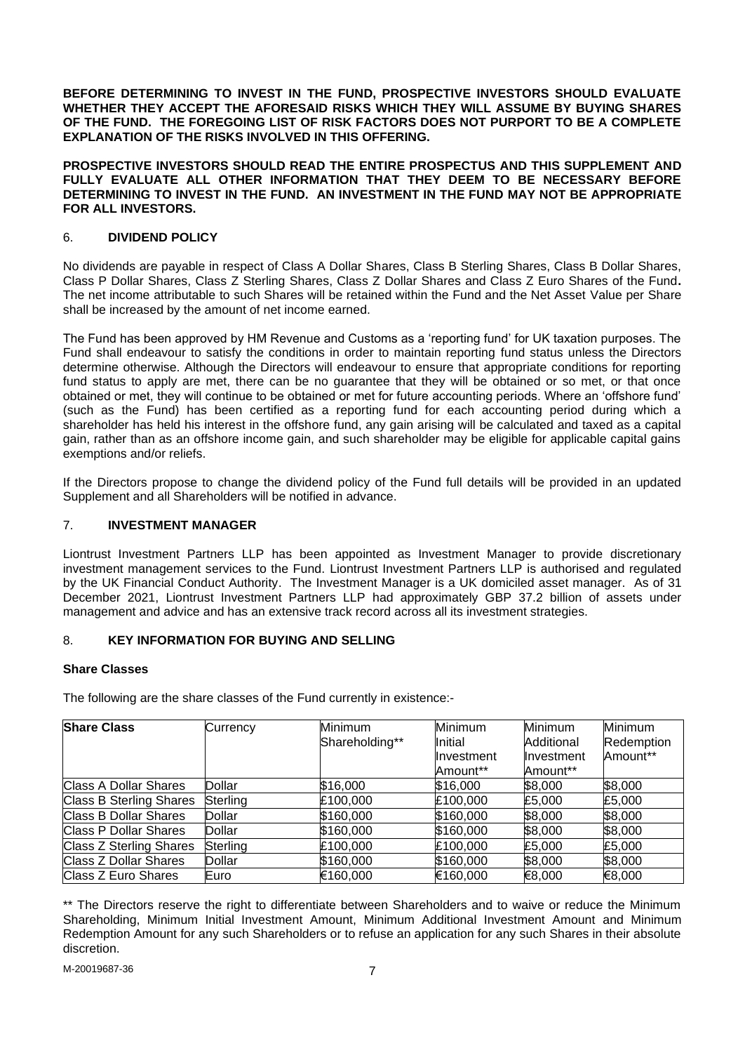**BEFORE DETERMINING TO INVEST IN THE FUND, PROSPECTIVE INVESTORS SHOULD EVALUATE WHETHER THEY ACCEPT THE AFORESAID RISKS WHICH THEY WILL ASSUME BY BUYING SHARES OF THE FUND. THE FOREGOING LIST OF RISK FACTORS DOES NOT PURPORT TO BE A COMPLETE EXPLANATION OF THE RISKS INVOLVED IN THIS OFFERING.**

**PROSPECTIVE INVESTORS SHOULD READ THE ENTIRE PROSPECTUS AND THIS SUPPLEMENT AND FULLY EVALUATE ALL OTHER INFORMATION THAT THEY DEEM TO BE NECESSARY BEFORE DETERMINING TO INVEST IN THE FUND. AN INVESTMENT IN THE FUND MAY NOT BE APPROPRIATE FOR ALL INVESTORS.**

## <span id="page-6-0"></span>6. **DIVIDEND POLICY**

No dividends are payable in respect of Class A Dollar Shares, Class B Sterling Shares, Class B Dollar Shares, Class P Dollar Shares, Class Z Sterling Shares, Class Z Dollar Shares and Class Z Euro Shares of the Fund**.**  The net income attributable to such Shares will be retained within the Fund and the Net Asset Value per Share shall be increased by the amount of net income earned.

The Fund has been approved by HM Revenue and Customs as a 'reporting fund' for UK taxation purposes. The Fund shall endeavour to satisfy the conditions in order to maintain reporting fund status unless the Directors determine otherwise. Although the Directors will endeavour to ensure that appropriate conditions for reporting fund status to apply are met, there can be no guarantee that they will be obtained or so met, or that once obtained or met, they will continue to be obtained or met for future accounting periods. Where an 'offshore fund' (such as the Fund) has been certified as a reporting fund for each accounting period during which a shareholder has held his interest in the offshore fund, any gain arising will be calculated and taxed as a capital gain, rather than as an offshore income gain, and such shareholder may be eligible for applicable capital gains exemptions and/or reliefs.

If the Directors propose to change the dividend policy of the Fund full details will be provided in an updated Supplement and all Shareholders will be notified in advance.

## <span id="page-6-1"></span>7. **INVESTMENT MANAGER**

Liontrust Investment Partners LLP has been appointed as Investment Manager to provide discretionary investment management services to the Fund. Liontrust Investment Partners LLP is authorised and regulated by the UK Financial Conduct Authority. The Investment Manager is a UK domiciled asset manager. As of 31 December 2021, Liontrust Investment Partners LLP had approximately GBP 37.2 billion of assets under management and advice and has an extensive track record across all its investment strategies.

## <span id="page-6-2"></span>8. **KEY INFORMATION FOR BUYING AND SELLING**

## **Share Classes**

The following are the share classes of the Fund currently in existence:-

| <b>Share Class</b>             | Currency      | Minimum        | Minimum    | <b>Minimum</b> | Minimum    |
|--------------------------------|---------------|----------------|------------|----------------|------------|
|                                |               | Shareholding** | Initial    | Additional     | Redemption |
|                                |               |                | Investment | Investment     | Amount**   |
|                                |               |                | Amount**   | Amount**       |            |
| <b>Class A Dollar Shares</b>   | <b>Dollar</b> | \$16,000       | \$16,000   | \$8,000        | \$8,000    |
| <b>Class B Sterling Shares</b> | Sterling      | £100,000       | £100,000   | £5,000         | £5,000     |
| <b>Class B Dollar Shares</b>   | Dollar        | \$160,000      | \$160,000  | \$8,000        | \$8,000    |
| Class P Dollar Shares          | <b>Dollar</b> | \$160,000      | \$160,000  | \$8,000        | \$8,000    |
| Class Z Sterling Shares        | Sterling      | £100,000       | £100,000   | £5,000         | £5,000     |
| Class Z Dollar Shares          | Dollar        | \$160,000      | \$160,000  | \$8,000        | \$8,000    |
| Class Z Euro Shares            | Euro          | €160,000       | €160,000   | €8,000         | €8,000     |

\*\* The Directors reserve the right to differentiate between Shareholders and to waive or reduce the Minimum Shareholding, Minimum Initial Investment Amount, Minimum Additional Investment Amount and Minimum Redemption Amount for any such Shareholders or to refuse an application for any such Shares in their absolute discretion.

M-20019687-36 7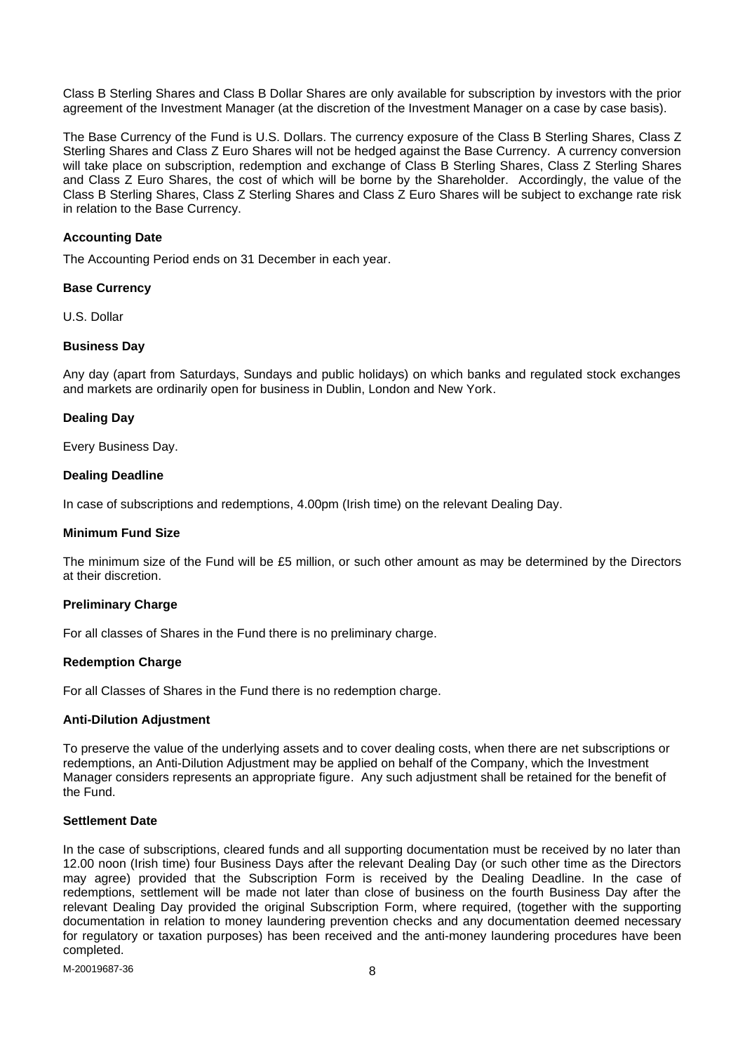Class B Sterling Shares and Class B Dollar Shares are only available for subscription by investors with the prior agreement of the Investment Manager (at the discretion of the Investment Manager on a case by case basis).

The Base Currency of the Fund is U.S. Dollars. The currency exposure of the Class B Sterling Shares, Class Z Sterling Shares and Class Z Euro Shares will not be hedged against the Base Currency. A currency conversion will take place on subscription, redemption and exchange of Class B Sterling Shares, Class Z Sterling Shares and Class Z Euro Shares, the cost of which will be borne by the Shareholder. Accordingly, the value of the Class B Sterling Shares, Class Z Sterling Shares and Class Z Euro Shares will be subject to exchange rate risk in relation to the Base Currency.

## **Accounting Date**

The Accounting Period ends on 31 December in each year.

### **Base Currency**

U.S. Dollar

## **Business Day**

Any day (apart from Saturdays, Sundays and public holidays) on which banks and regulated stock exchanges and markets are ordinarily open for business in Dublin, London and New York.

## **Dealing Day**

Every Business Day.

## **Dealing Deadline**

In case of subscriptions and redemptions, 4.00pm (Irish time) on the relevant Dealing Day.

### **Minimum Fund Size**

The minimum size of the Fund will be £5 million, or such other amount as may be determined by the Directors at their discretion.

## **Preliminary Charge**

For all classes of Shares in the Fund there is no preliminary charge.

### **Redemption Charge**

For all Classes of Shares in the Fund there is no redemption charge.

### **Anti-Dilution Adjustment**

To preserve the value of the underlying assets and to cover dealing costs, when there are net subscriptions or redemptions, an Anti-Dilution Adjustment may be applied on behalf of the Company, which the Investment Manager considers represents an appropriate figure. Any such adjustment shall be retained for the benefit of the Fund.

## **Settlement Date**

In the case of subscriptions, cleared funds and all supporting documentation must be received by no later than 12.00 noon (Irish time) four Business Days after the relevant Dealing Day (or such other time as the Directors may agree) provided that the Subscription Form is received by the Dealing Deadline. In the case of redemptions, settlement will be made not later than close of business on the fourth Business Day after the relevant Dealing Day provided the original Subscription Form, where required, (together with the supporting documentation in relation to money laundering prevention checks and any documentation deemed necessary for regulatory or taxation purposes) has been received and the anti-money laundering procedures have been completed.

M-20019687-36 8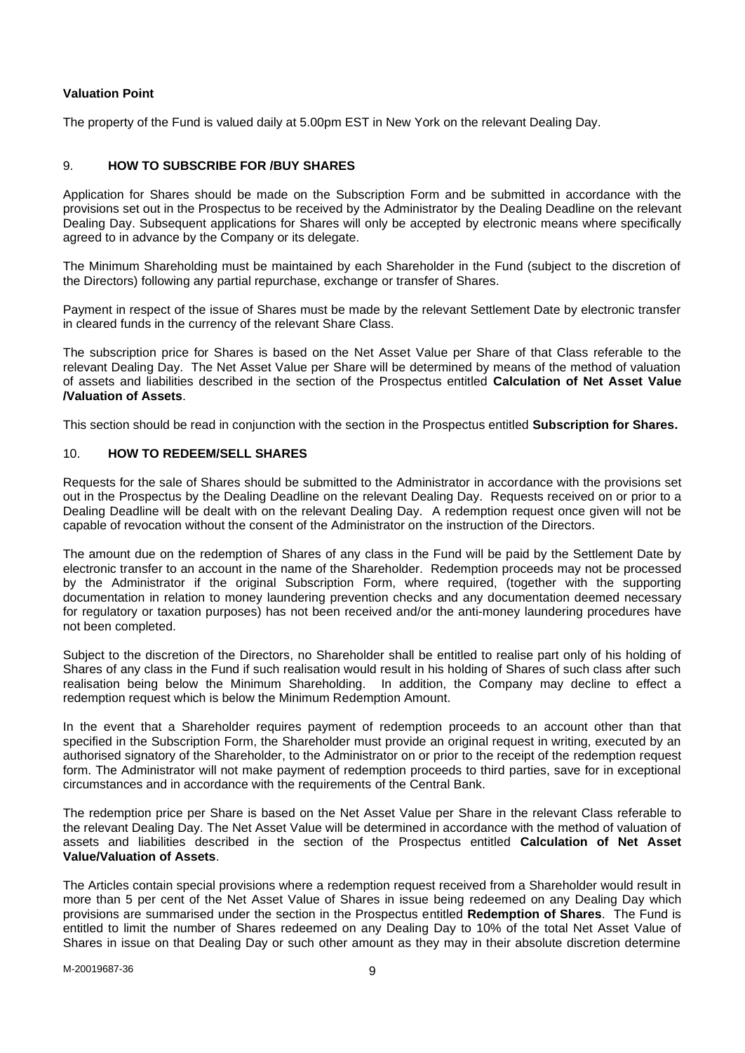## **Valuation Point**

The property of the Fund is valued daily at 5.00pm EST in New York on the relevant Dealing Day.

## <span id="page-8-0"></span>9. **HOW TO SUBSCRIBE FOR /BUY SHARES**

Application for Shares should be made on the Subscription Form and be submitted in accordance with the provisions set out in the Prospectus to be received by the Administrator by the Dealing Deadline on the relevant Dealing Day. Subsequent applications for Shares will only be accepted by electronic means where specifically agreed to in advance by the Company or its delegate.

The Minimum Shareholding must be maintained by each Shareholder in the Fund (subject to the discretion of the Directors) following any partial repurchase, exchange or transfer of Shares.

Payment in respect of the issue of Shares must be made by the relevant Settlement Date by electronic transfer in cleared funds in the currency of the relevant Share Class.

The subscription price for Shares is based on the Net Asset Value per Share of that Class referable to the relevant Dealing Day. The Net Asset Value per Share will be determined by means of the method of valuation of assets and liabilities described in the section of the Prospectus entitled **Calculation of Net Asset Value /Valuation of Assets**.

This section should be read in conjunction with the section in the Prospectus entitled **Subscription for Shares.**

### <span id="page-8-1"></span>10. **HOW TO REDEEM/SELL SHARES**

Requests for the sale of Shares should be submitted to the Administrator in accordance with the provisions set out in the Prospectus by the Dealing Deadline on the relevant Dealing Day. Requests received on or prior to a Dealing Deadline will be dealt with on the relevant Dealing Day. A redemption request once given will not be capable of revocation without the consent of the Administrator on the instruction of the Directors.

The amount due on the redemption of Shares of any class in the Fund will be paid by the Settlement Date by electronic transfer to an account in the name of the Shareholder. Redemption proceeds may not be processed by the Administrator if the original Subscription Form, where required, (together with the supporting documentation in relation to money laundering prevention checks and any documentation deemed necessary for regulatory or taxation purposes) has not been received and/or the anti-money laundering procedures have not been completed.

Subject to the discretion of the Directors, no Shareholder shall be entitled to realise part only of his holding of Shares of any class in the Fund if such realisation would result in his holding of Shares of such class after such realisation being below the Minimum Shareholding. In addition, the Company may decline to effect a redemption request which is below the Minimum Redemption Amount.

In the event that a Shareholder requires payment of redemption proceeds to an account other than that specified in the Subscription Form, the Shareholder must provide an original request in writing, executed by an authorised signatory of the Shareholder, to the Administrator on or prior to the receipt of the redemption request form. The Administrator will not make payment of redemption proceeds to third parties, save for in exceptional circumstances and in accordance with the requirements of the Central Bank.

The redemption price per Share is based on the Net Asset Value per Share in the relevant Class referable to the relevant Dealing Day. The Net Asset Value will be determined in accordance with the method of valuation of assets and liabilities described in the section of the Prospectus entitled **Calculation of Net Asset Value/Valuation of Assets**.

The Articles contain special provisions where a redemption request received from a Shareholder would result in more than 5 per cent of the Net Asset Value of Shares in issue being redeemed on any Dealing Day which provisions are summarised under the section in the Prospectus entitled **Redemption of Shares**. The Fund is entitled to limit the number of Shares redeemed on any Dealing Day to 10% of the total Net Asset Value of Shares in issue on that Dealing Day or such other amount as they may in their absolute discretion determine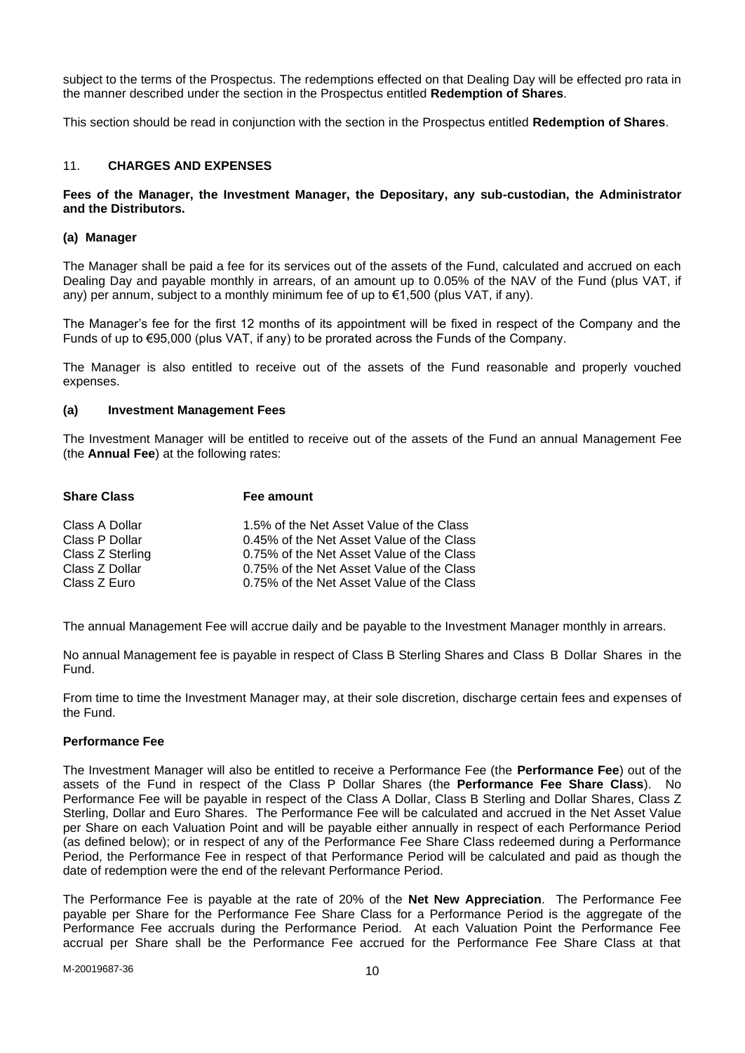subject to the terms of the Prospectus. The redemptions effected on that Dealing Day will be effected pro rata in the manner described under the section in the Prospectus entitled **Redemption of Shares**.

This section should be read in conjunction with the section in the Prospectus entitled **Redemption of Shares**.

## <span id="page-9-0"></span>11. **CHARGES AND EXPENSES**

### **Fees of the Manager, the Investment Manager, the Depositary, any sub-custodian, the Administrator and the Distributors.**

### **(a) Manager**

The Manager shall be paid a fee for its services out of the assets of the Fund, calculated and accrued on each Dealing Day and payable monthly in arrears, of an amount up to 0.05% of the NAV of the Fund (plus VAT, if any) per annum, subject to a monthly minimum fee of up to  $\epsilon$ 1,500 (plus VAT, if any).

The Manager's fee for the first 12 months of its appointment will be fixed in respect of the Company and the Funds of up to €95,000 (plus VAT, if any) to be prorated across the Funds of the Company.

The Manager is also entitled to receive out of the assets of the Fund reasonable and properly vouched expenses.

### **(a) Investment Management Fees**

The Investment Manager will be entitled to receive out of the assets of the Fund an annual Management Fee (the **Annual Fee**) at the following rates:

| <b>Share Class</b> | Fee amount                                |
|--------------------|-------------------------------------------|
| Class A Dollar     | 1.5% of the Net Asset Value of the Class  |
| Class P Dollar     | 0.45% of the Net Asset Value of the Class |
| Class Z Sterling   | 0.75% of the Net Asset Value of the Class |
| Class Z Dollar     | 0.75% of the Net Asset Value of the Class |
| Class Z Euro       | 0.75% of the Net Asset Value of the Class |

The annual Management Fee will accrue daily and be payable to the Investment Manager monthly in arrears.

No annual Management fee is payable in respect of Class B Sterling Shares and Class B Dollar Shares in the Fund.

From time to time the Investment Manager may, at their sole discretion, discharge certain fees and expenses of the Fund.

### **Performance Fee**

The Investment Manager will also be entitled to receive a Performance Fee (the **Performance Fee**) out of the assets of the Fund in respect of the Class P Dollar Shares (the **Performance Fee Share Class**). No Performance Fee will be payable in respect of the Class A Dollar, Class B Sterling and Dollar Shares, Class Z Sterling, Dollar and Euro Shares. The Performance Fee will be calculated and accrued in the Net Asset Value per Share on each Valuation Point and will be payable either annually in respect of each Performance Period (as defined below); or in respect of any of the Performance Fee Share Class redeemed during a Performance Period, the Performance Fee in respect of that Performance Period will be calculated and paid as though the date of redemption were the end of the relevant Performance Period.

The Performance Fee is payable at the rate of 20% of the **Net New Appreciation**. The Performance Fee payable per Share for the Performance Fee Share Class for a Performance Period is the aggregate of the Performance Fee accruals during the Performance Period. At each Valuation Point the Performance Fee accrual per Share shall be the Performance Fee accrued for the Performance Fee Share Class at that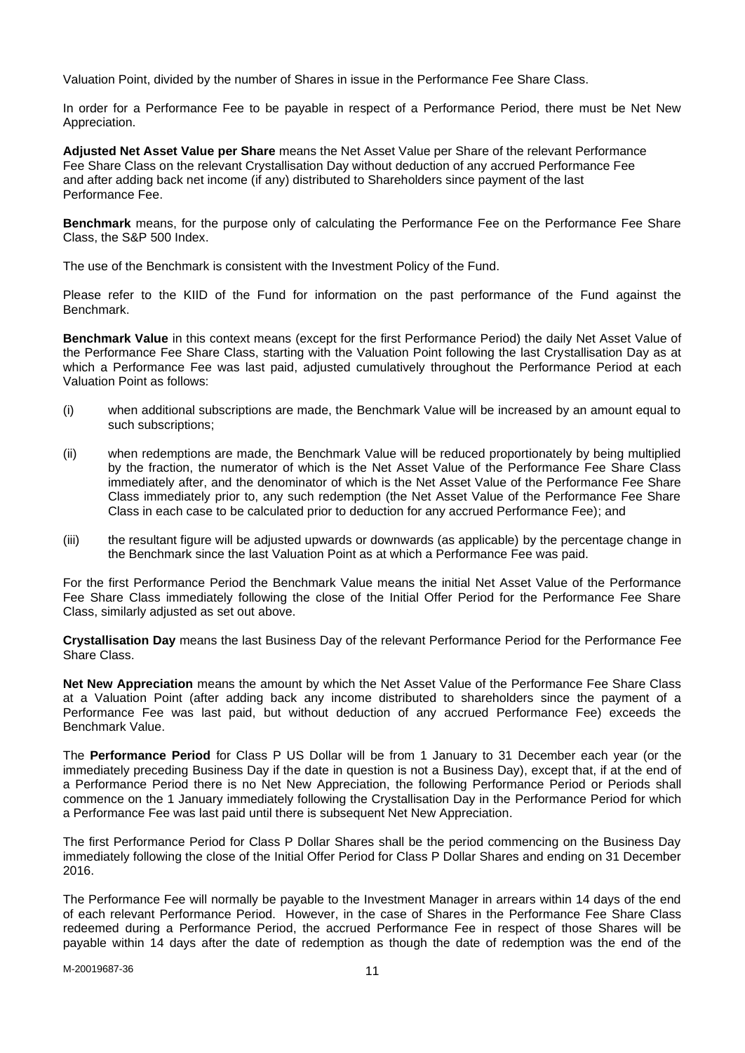Valuation Point, divided by the number of Shares in issue in the Performance Fee Share Class.

In order for a Performance Fee to be payable in respect of a Performance Period, there must be Net New Appreciation.

**Adjusted Net Asset Value per Share** means the Net Asset Value per Share of the relevant Performance Fee Share Class on the relevant Crystallisation Day without deduction of any accrued Performance Fee and after adding back net income (if any) distributed to Shareholders since payment of the last Performance Fee.

**Benchmark** means, for the purpose only of calculating the Performance Fee on the Performance Fee Share Class, the S&P 500 Index.

The use of the Benchmark is consistent with the Investment Policy of the Fund.

Please refer to the KIID of the Fund for information on the past performance of the Fund against the Benchmark.

**Benchmark Value** in this context means (except for the first Performance Period) the daily Net Asset Value of the Performance Fee Share Class, starting with the Valuation Point following the last Crystallisation Day as at which a Performance Fee was last paid, adjusted cumulatively throughout the Performance Period at each Valuation Point as follows:

- (i) when additional subscriptions are made, the Benchmark Value will be increased by an amount equal to such subscriptions;
- (ii) when redemptions are made, the Benchmark Value will be reduced proportionately by being multiplied by the fraction, the numerator of which is the Net Asset Value of the Performance Fee Share Class immediately after, and the denominator of which is the Net Asset Value of the Performance Fee Share Class immediately prior to, any such redemption (the Net Asset Value of the Performance Fee Share Class in each case to be calculated prior to deduction for any accrued Performance Fee); and
- (iii) the resultant figure will be adjusted upwards or downwards (as applicable) by the percentage change in the Benchmark since the last Valuation Point as at which a Performance Fee was paid.

For the first Performance Period the Benchmark Value means the initial Net Asset Value of the Performance Fee Share Class immediately following the close of the Initial Offer Period for the Performance Fee Share Class, similarly adjusted as set out above.

**Crystallisation Day** means the last Business Day of the relevant Performance Period for the Performance Fee Share Class.

**Net New Appreciation** means the amount by which the Net Asset Value of the Performance Fee Share Class at a Valuation Point (after adding back any income distributed to shareholders since the payment of a Performance Fee was last paid, but without deduction of any accrued Performance Fee) exceeds the Benchmark Value.

The **Performance Period** for Class P US Dollar will be from 1 January to 31 December each year (or the immediately preceding Business Day if the date in question is not a Business Day), except that, if at the end of a Performance Period there is no Net New Appreciation, the following Performance Period or Periods shall commence on the 1 January immediately following the Crystallisation Day in the Performance Period for which a Performance Fee was last paid until there is subsequent Net New Appreciation.

The first Performance Period for Class P Dollar Shares shall be the period commencing on the Business Day immediately following the close of the Initial Offer Period for Class P Dollar Shares and ending on 31 December 2016.

The Performance Fee will normally be payable to the Investment Manager in arrears within 14 days of the end of each relevant Performance Period. However, in the case of Shares in the Performance Fee Share Class redeemed during a Performance Period, the accrued Performance Fee in respect of those Shares will be payable within 14 days after the date of redemption as though the date of redemption was the end of the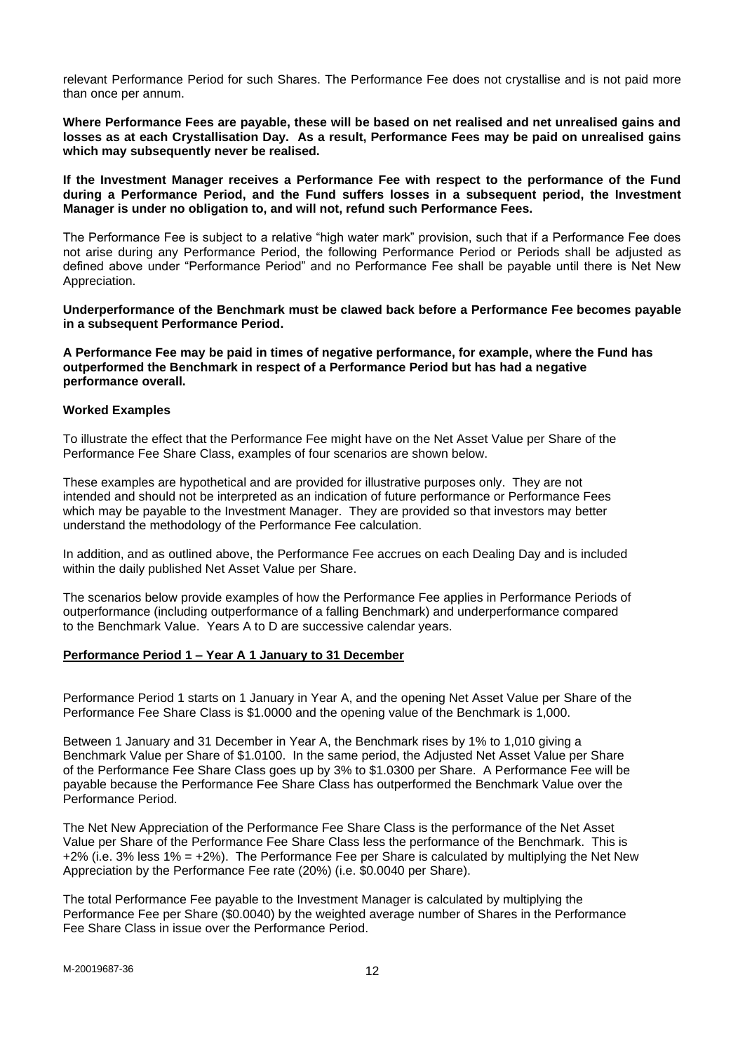relevant Performance Period for such Shares. The Performance Fee does not crystallise and is not paid more than once per annum.

**Where Performance Fees are payable, these will be based on net realised and net unrealised gains and losses as at each Crystallisation Day. As a result, Performance Fees may be paid on unrealised gains which may subsequently never be realised.**

**If the Investment Manager receives a Performance Fee with respect to the performance of the Fund during a Performance Period, and the Fund suffers losses in a subsequent period, the Investment Manager is under no obligation to, and will not, refund such Performance Fees.** 

The Performance Fee is subject to a relative "high water mark" provision, such that if a Performance Fee does not arise during any Performance Period, the following Performance Period or Periods shall be adjusted as defined above under "Performance Period" and no Performance Fee shall be payable until there is Net New Appreciation.

**Underperformance of the Benchmark must be clawed back before a Performance Fee becomes payable in a subsequent Performance Period.**

**A Performance Fee may be paid in times of negative performance, for example, where the Fund has outperformed the Benchmark in respect of a Performance Period but has had a negative performance overall.** 

### **Worked Examples**

To illustrate the effect that the Performance Fee might have on the Net Asset Value per Share of the Performance Fee Share Class, examples of four scenarios are shown below.

These examples are hypothetical and are provided for illustrative purposes only. They are not intended and should not be interpreted as an indication of future performance or Performance Fees which may be payable to the Investment Manager. They are provided so that investors may better understand the methodology of the Performance Fee calculation.

In addition, and as outlined above, the Performance Fee accrues on each Dealing Day and is included within the daily published Net Asset Value per Share.

The scenarios below provide examples of how the Performance Fee applies in Performance Periods of outperformance (including outperformance of a falling Benchmark) and underperformance compared to the Benchmark Value. Years A to D are successive calendar years.

### **Performance Period 1 – Year A 1 January to 31 December**

Performance Period 1 starts on 1 January in Year A, and the opening Net Asset Value per Share of the Performance Fee Share Class is \$1.0000 and the opening value of the Benchmark is 1,000.

Between 1 January and 31 December in Year A, the Benchmark rises by 1% to 1,010 giving a Benchmark Value per Share of \$1.0100. In the same period, the Adjusted Net Asset Value per Share of the Performance Fee Share Class goes up by 3% to \$1.0300 per Share. A Performance Fee will be payable because the Performance Fee Share Class has outperformed the Benchmark Value over the Performance Period.

The Net New Appreciation of the Performance Fee Share Class is the performance of the Net Asset Value per Share of the Performance Fee Share Class less the performance of the Benchmark. This is +2% (i.e. 3% less 1% = +2%). The Performance Fee per Share is calculated by multiplying the Net New Appreciation by the Performance Fee rate (20%) (i.e. \$0.0040 per Share).

The total Performance Fee payable to the Investment Manager is calculated by multiplying the Performance Fee per Share (\$0.0040) by the weighted average number of Shares in the Performance Fee Share Class in issue over the Performance Period.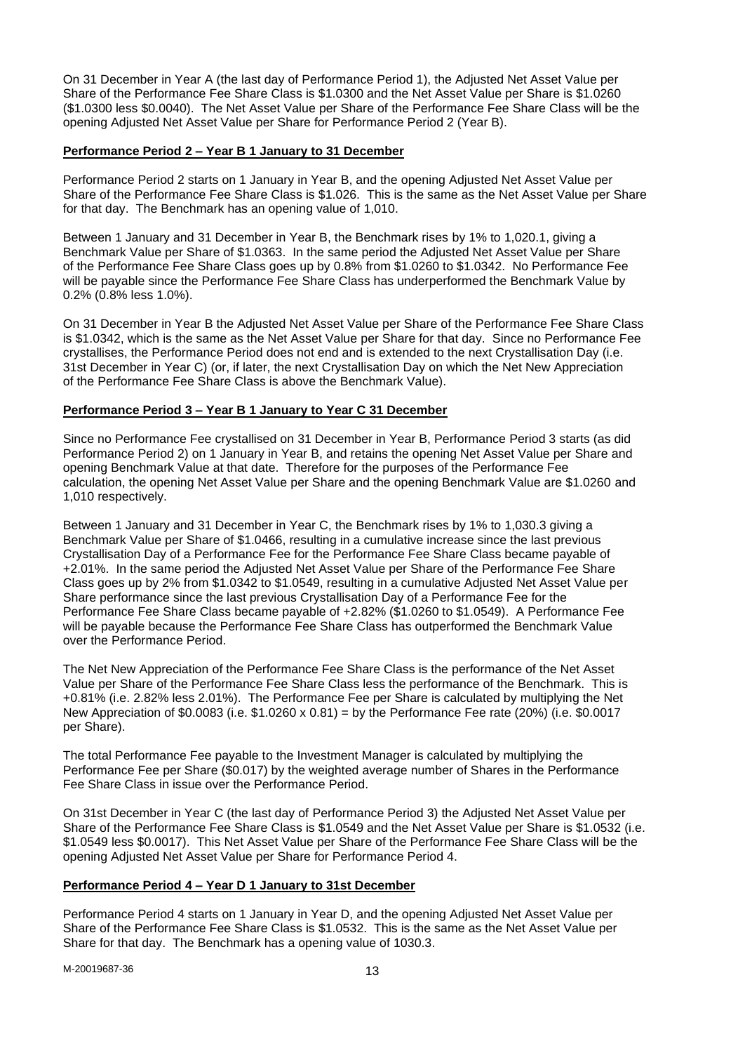On 31 December in Year A (the last day of Performance Period 1), the Adjusted Net Asset Value per Share of the Performance Fee Share Class is \$1.0300 and the Net Asset Value per Share is \$1.0260 (\$1.0300 less \$0.0040). The Net Asset Value per Share of the Performance Fee Share Class will be the opening Adjusted Net Asset Value per Share for Performance Period 2 (Year B).

## **Performance Period 2 – Year B 1 January to 31 December**

Performance Period 2 starts on 1 January in Year B, and the opening Adjusted Net Asset Value per Share of the Performance Fee Share Class is \$1.026. This is the same as the Net Asset Value per Share for that day. The Benchmark has an opening value of 1,010.

Between 1 January and 31 December in Year B, the Benchmark rises by 1% to 1,020.1, giving a Benchmark Value per Share of \$1.0363. In the same period the Adjusted Net Asset Value per Share of the Performance Fee Share Class goes up by 0.8% from \$1.0260 to \$1.0342. No Performance Fee will be payable since the Performance Fee Share Class has underperformed the Benchmark Value by 0.2% (0.8% less 1.0%).

On 31 December in Year B the Adjusted Net Asset Value per Share of the Performance Fee Share Class is \$1.0342, which is the same as the Net Asset Value per Share for that day. Since no Performance Fee crystallises, the Performance Period does not end and is extended to the next Crystallisation Day (i.e. 31st December in Year C) (or, if later, the next Crystallisation Day on which the Net New Appreciation of the Performance Fee Share Class is above the Benchmark Value).

## **Performance Period 3 – Year B 1 January to Year C 31 December**

Since no Performance Fee crystallised on 31 December in Year B, Performance Period 3 starts (as did Performance Period 2) on 1 January in Year B, and retains the opening Net Asset Value per Share and opening Benchmark Value at that date. Therefore for the purposes of the Performance Fee calculation, the opening Net Asset Value per Share and the opening Benchmark Value are \$1.0260 and 1,010 respectively.

Between 1 January and 31 December in Year C, the Benchmark rises by 1% to 1,030.3 giving a Benchmark Value per Share of \$1.0466, resulting in a cumulative increase since the last previous Crystallisation Day of a Performance Fee for the Performance Fee Share Class became payable of +2.01%. In the same period the Adjusted Net Asset Value per Share of the Performance Fee Share Class goes up by 2% from \$1.0342 to \$1.0549, resulting in a cumulative Adjusted Net Asset Value per Share performance since the last previous Crystallisation Day of a Performance Fee for the Performance Fee Share Class became payable of +2.82% (\$1.0260 to \$1.0549). A Performance Fee will be payable because the Performance Fee Share Class has outperformed the Benchmark Value over the Performance Period.

The Net New Appreciation of the Performance Fee Share Class is the performance of the Net Asset Value per Share of the Performance Fee Share Class less the performance of the Benchmark. This is +0.81% (i.e. 2.82% less 2.01%). The Performance Fee per Share is calculated by multiplying the Net New Appreciation of \$0.0083 (i.e. \$1.0260 x 0.81) = by the Performance Fee rate (20%) (i.e. \$0.0017 per Share).

The total Performance Fee payable to the Investment Manager is calculated by multiplying the Performance Fee per Share (\$0.017) by the weighted average number of Shares in the Performance Fee Share Class in issue over the Performance Period.

On 31st December in Year C (the last day of Performance Period 3) the Adjusted Net Asset Value per Share of the Performance Fee Share Class is \$1.0549 and the Net Asset Value per Share is \$1.0532 (i.e. \$1.0549 less \$0.0017). This Net Asset Value per Share of the Performance Fee Share Class will be the opening Adjusted Net Asset Value per Share for Performance Period 4.

## **Performance Period 4 – Year D 1 January to 31st December**

Performance Period 4 starts on 1 January in Year D, and the opening Adjusted Net Asset Value per Share of the Performance Fee Share Class is \$1.0532. This is the same as the Net Asset Value per Share for that day. The Benchmark has a opening value of 1030.3.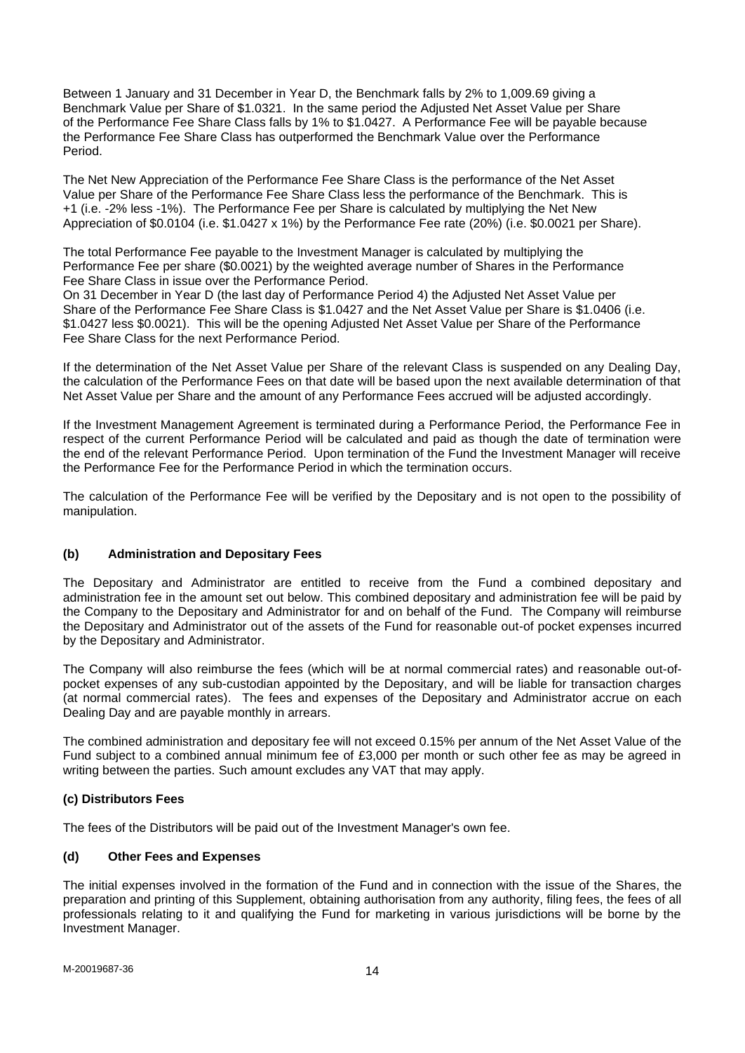Between 1 January and 31 December in Year D, the Benchmark falls by 2% to 1,009.69 giving a Benchmark Value per Share of \$1.0321. In the same period the Adjusted Net Asset Value per Share of the Performance Fee Share Class falls by 1% to \$1.0427. A Performance Fee will be payable because the Performance Fee Share Class has outperformed the Benchmark Value over the Performance Period.

The Net New Appreciation of the Performance Fee Share Class is the performance of the Net Asset Value per Share of the Performance Fee Share Class less the performance of the Benchmark. This is +1 (i.e. -2% less -1%). The Performance Fee per Share is calculated by multiplying the Net New Appreciation of \$0.0104 (i.e. \$1.0427 x 1%) by the Performance Fee rate (20%) (i.e. \$0.0021 per Share).

The total Performance Fee payable to the Investment Manager is calculated by multiplying the Performance Fee per share (\$0.0021) by the weighted average number of Shares in the Performance Fee Share Class in issue over the Performance Period.

On 31 December in Year D (the last day of Performance Period 4) the Adjusted Net Asset Value per Share of the Performance Fee Share Class is \$1.0427 and the Net Asset Value per Share is \$1.0406 (i.e. \$1.0427 less \$0.0021). This will be the opening Adjusted Net Asset Value per Share of the Performance Fee Share Class for the next Performance Period.

If the determination of the Net Asset Value per Share of the relevant Class is suspended on any Dealing Day, the calculation of the Performance Fees on that date will be based upon the next available determination of that Net Asset Value per Share and the amount of any Performance Fees accrued will be adjusted accordingly.

If the Investment Management Agreement is terminated during a Performance Period, the Performance Fee in respect of the current Performance Period will be calculated and paid as though the date of termination were the end of the relevant Performance Period. Upon termination of the Fund the Investment Manager will receive the Performance Fee for the Performance Period in which the termination occurs.

The calculation of the Performance Fee will be verified by the Depositary and is not open to the possibility of manipulation.

## **(b) Administration and Depositary Fees**

The Depositary and Administrator are entitled to receive from the Fund a combined depositary and administration fee in the amount set out below. This combined depositary and administration fee will be paid by the Company to the Depositary and Administrator for and on behalf of the Fund. The Company will reimburse the Depositary and Administrator out of the assets of the Fund for reasonable out-of pocket expenses incurred by the Depositary and Administrator.

The Company will also reimburse the fees (which will be at normal commercial rates) and reasonable out-ofpocket expenses of any sub-custodian appointed by the Depositary, and will be liable for transaction charges (at normal commercial rates). The fees and expenses of the Depositary and Administrator accrue on each Dealing Day and are payable monthly in arrears.

The combined administration and depositary fee will not exceed 0.15% per annum of the Net Asset Value of the Fund subject to a combined annual minimum fee of £3,000 per month or such other fee as may be agreed in writing between the parties. Such amount excludes any VAT that may apply.

## **(c) Distributors Fees**

The fees of the Distributors will be paid out of the Investment Manager's own fee.

## **(d) Other Fees and Expenses**

The initial expenses involved in the formation of the Fund and in connection with the issue of the Shares, the preparation and printing of this Supplement, obtaining authorisation from any authority, filing fees, the fees of all professionals relating to it and qualifying the Fund for marketing in various jurisdictions will be borne by the Investment Manager.